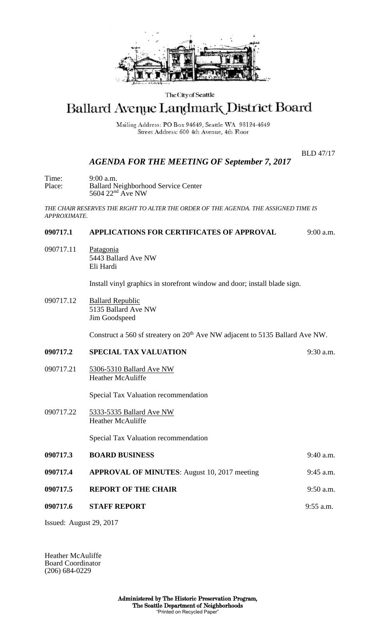

### The City of Seattle

# Ballard Avenue Landmark District Board

Mailing Address: PO Box 94649, Seattle WA 98124-4649 Street Address: 600 4th Avenue, 4th Floor

BLD 47/17

## *AGENDA FOR THE MEETING OF September 7, 2017*

Time: 9:00 a.m. Place: Ballard Neighborhood Service Center 5604 22<sup>nd</sup> Ave NW

*THE CHAIR RESERVES THE RIGHT TO ALTER THE ORDER OF THE AGENDA. THE ASSIGNED TIME IS APPROXIMATE.*

## **090717.1 APPLICATIONS FOR CERTIFICATES OF APPROVAL** 9:00 a.m.

090717.11 Patagonia 5443 Ballard Ave NW Eli Hardi

Install vinyl graphics in storefront window and door; install blade sign.

090717.12 Ballard Republic 5135 Ballard Ave NW Jim Goodspeed

Construct a 560 sf streatery on 20<sup>th</sup> Ave NW adjacent to 5135 Ballard Ave NW.

- **090717.2 SPECIAL TAX VALUATION** 9:30 a.m.
- 090717.21 5306-5310 Ballard Ave NW Heather McAuliffe

Special Tax Valuation recommendation

090717.22 5333-5335 Ballard Ave NW Heather McAuliffe

Special Tax Valuation recommendation

**090717.3 BOARD BUSINESS** 9:40 a.m.

- **090717.4 APPROVAL OF MINUTES**: August 10, 2017 meeting 9:45 a.m.
- **090717.5 REPORT OF THE CHAIR 3:50 a.m.** 
	- **090717.6 STAFF REPORT** 9:55 a.m.

Issued: August 29, 2017

Heather McAuliffe Board Coordinator (206) 684-0229